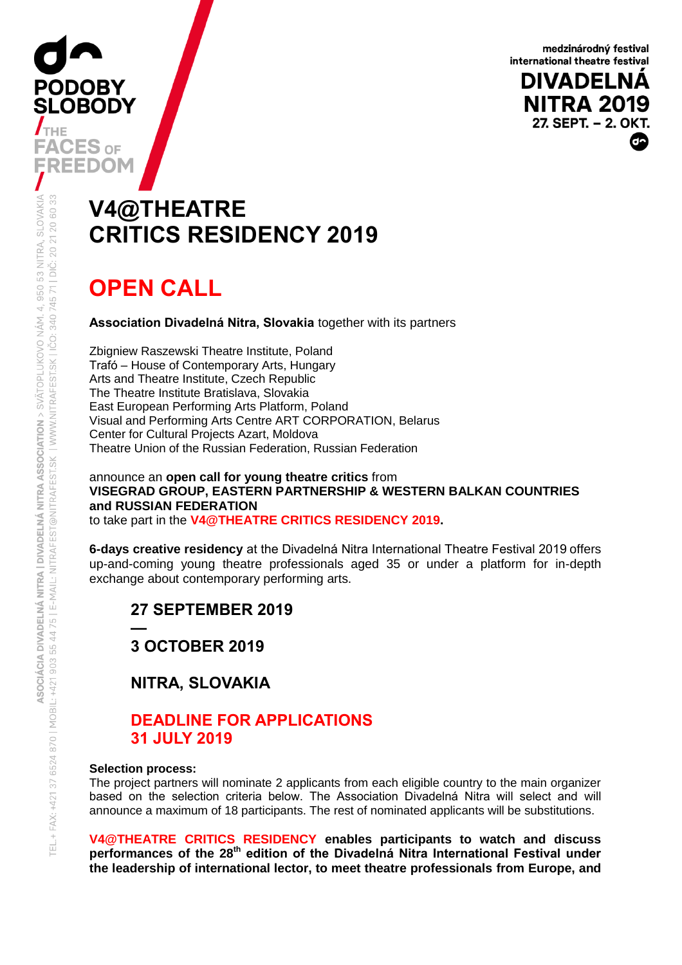medzinárodný festival international theatre festival

**DIVADELNA NITRA 2019** 27. SEPT. - 2. OKT.

# **V4@THEATRE CRITICS RESIDENCY 2019**

# **OPEN CALL**

**PODOBY** 

 $\boldsymbol{J}_{\text{THE}}$ 

**SLOBODY** 

**Association Divadelná Nitra, Slovakia** together with its partners

Zbigniew Raszewski Theatre Institute, Poland Trafó – House of Contemporary Arts, Hungary Arts and Theatre Institute, Czech Republic The Theatre Institute Bratislava, Slovakia East European Performing Arts Platform, Poland Visual and Performing Arts Centre ART CORPORATION, Belarus Center for Cultural Projects Azart, Moldova Theatre Union of the Russian Federation, Russian Federation

announce an **open call for young theatre critics** from **VISEGRAD GROUP, EASTERN PARTNERSHIP & WESTERN BALKAN COUNTRIES and RUSSIAN FEDERATION** to take part in the **V4@THEATRE CRITICS RESIDENCY 2019.**

**6-days creative residency** at the Divadelná Nitra International Theatre Festival 2019 offers up-and-coming young theatre professionals aged 35 or under a platform for in-depth exchange about contemporary performing arts.

**27 SEPTEMBER 2019 —**

**3 OCTOBER 2019**

**NITRA, SLOVAKIA**

### **DEADLINE FOR APPLICATIONS 31 JULY 2019**

#### **Selection process:**

The project partners will nominate 2 applicants from each eligible country to the main organizer based on the selection criteria below. The Association Divadelná Nitra will select and will announce a maximum of 18 participants. The rest of nominated applicants will be substitutions.

**V4@THEATRE CRITICS RESIDENCY enables participants to watch and discuss performances of the 28th edition of the Divadelná Nitra International Festival under the leadership of international lector, to meet theatre professionals from Europe, and**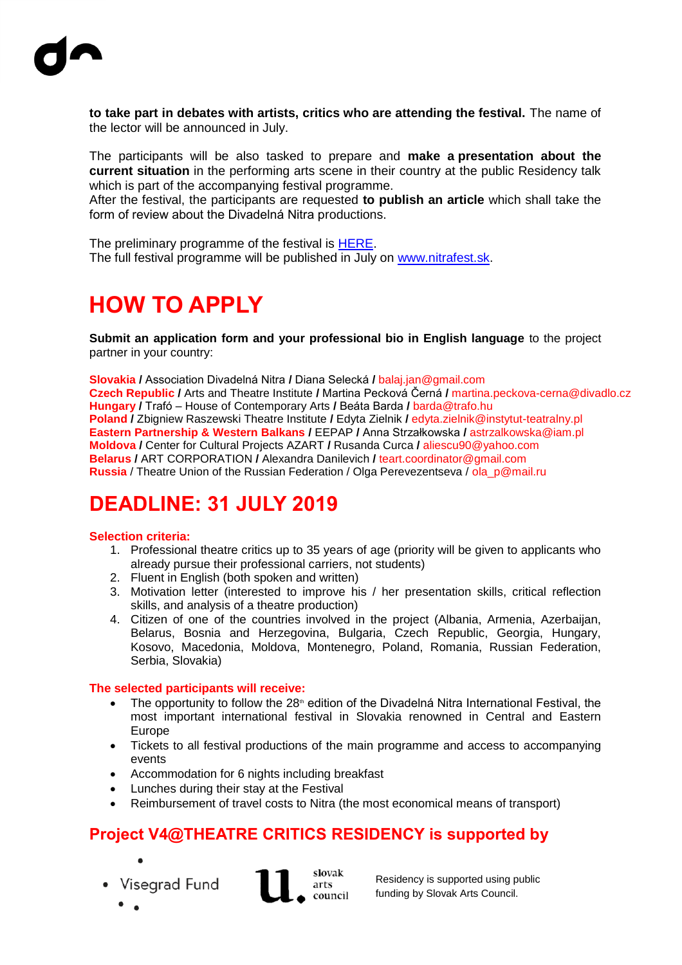

**to take part in debates with artists, critics who are attending the festival.** The name of the lector will be announced in July.

The participants will be also tasked to prepare and **make a presentation about the current situation** in the performing arts scene in their country at the public Residency talk which is part of the accompanying festival programme.

After the festival, the participants are requested **to publish an article** which shall take the form of review about the Divadelná Nitra productions.

The preliminary programme of the festival is [HERE.](http://www.nitrafest.sk/home/programme-2019/preliminary-main-programme-2019/) The full festival programme will be published in July on [www.nitrafest.sk.](http://www.nitrafest.sk/)

# **HOW TO APPLY**

**Submit an application form and your professional bio in English language** to the project partner in your country:

**Slovakia /** Association Divadelná Nitra **/** Diana Selecká **/** balaj.jan@gmail.com **Czech Republic /** Arts and Theatre Institute **/** Martina Pecková Černá **/** martina.peckova-cerna@divadlo.cz **Hungary /** Trafó – House of Contemporary Arts **/** Beáta Barda **/** barda@trafo.hu **Poland /** Zbigniew Raszewski Theatre Institute **/** Edyta Zielnik **/** edyta.zielnik@instytut-teatralny.pl **Eastern Partnership & Western Balkans /** EEPAP **/** Anna Strzałkowska **/** astrzalkowska@iam.pl **Moldova /** Center for Cultural Projects AZART **/** Rusanda Curca **/** aliescu90@yahoo.com **Belarus /** ART CORPORATION **/** Alexandra Danilevich **/** teart.coordinator@gmail.com **Russia** / Theatre Union of the Russian Federation / Olga Perevezentseva / ola\_p@mail.ru

### **DEADLINE: 31 JULY 2019**

#### **Selection criteria:**

- 1. Professional theatre critics up to 35 years of age (priority will be given to applicants who already pursue their professional carriers, not students)
- 2. Fluent in English (both spoken and written)
- 3. Motivation letter (interested to improve his / her presentation skills, critical reflection skills, and analysis of a theatre production)
- 4. Citizen of one of the countries involved in the project (Albania, Armenia, Azerbaijan, Belarus, Bosnia and Herzegovina, Bulgaria, Czech Republic, Georgia, Hungary, Kosovo, Macedonia, Moldova, Montenegro, Poland, Romania, Russian Federation, Serbia, Slovakia)

#### **The selected participants will receive:**

- The opportunity to follow the  $28<sup>n</sup>$  edition of the Divadelná Nitra International Festival, the most important international festival in Slovakia renowned in Central and Eastern Europe
- Tickets to all festival productions of the main programme and access to accompanying events
- Accommodation for 6 nights including breakfast
- Lunches during their stay at the Festival
- Reimbursement of travel costs to Nitra (the most economical means of transport)

### **Project V4@THEATRE CRITICS RESIDENCY is supported by**

- 
- Visegrad Fund



Residency is supported using public funding by Slovak Arts Council.